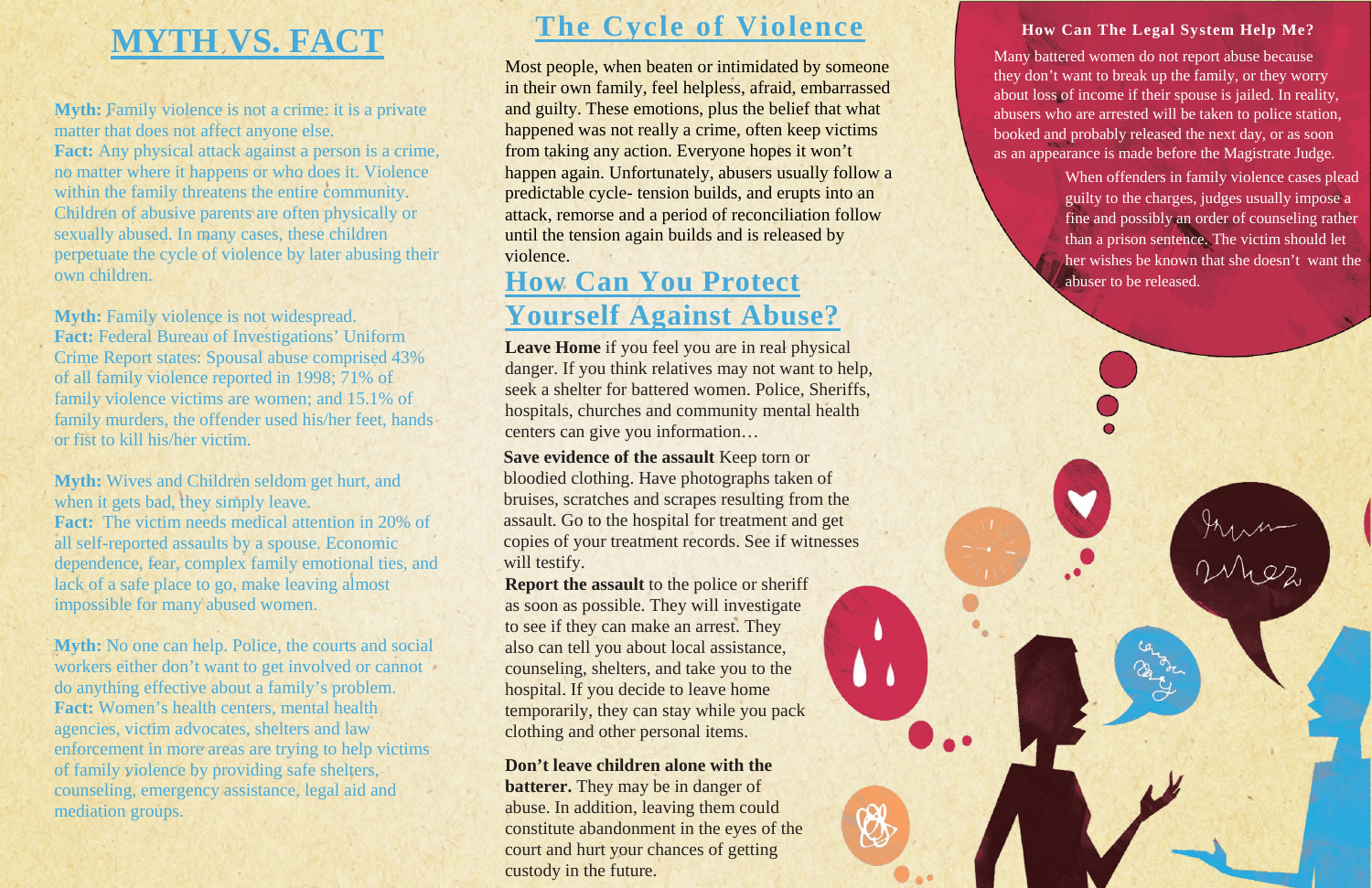# **MYTH VS. FACT**

**Myth:** Family violence is not a crime: it is a private matter that does not affect anyone else. **Fact:** Any physical attack against a person is a crime, no matter where it happens or who does it. Violence within the family threatens the entire community. Children of abusive parents are often physically or sexually abused. In many cases, these children perpetuate the cycle of violence by later abusing their own children.

**Myth:** Family violence is not widespread. **Fact:** Federal Bureau of Investigations' Uniform Crime Report states: Spousal abuse comprised 43% of all family violence reported in 1998; 71% of family violence victims are women; and 15.1% of family murders, the offender used his/her feet, hands or fist to kill his/her victim.

**Myth:** Wives and Children seldom get hurt, and when it gets bad, they simply leave. **Fact:** The victim needs medical attention in 20% of all self-reported assaults by a spouse. Economic dependence, fear, complex family emotional ties, and lack of a safe place to go, make leaving almost impossible for many abused women.

**Save evidence of the assault** Keep torn or bloodied clothing. Have photographs taken of bruises, scratches and scrapes resulting from the assault. Go to the hospital for treatment and get copies of your treatment records. See if witnesses will testify.

**Myth:** No one can help. Police, the courts and social workers either don't want to get involved or cannot do anything effective about a family's problem. **Fact:** Women's health centers, mental health agencies, victim advocates, shelters and law enforcement in more areas are trying to help victims of family violence by providing safe shelters, counseling, emergency assistance, legal aid and mediation groups.

### **The Cycle of Violence**

Most people, when beaten or intimidated by someone in their own family, feel helpless, afraid, embarrassed and guilty. These emotions, plus the belief that what happened was not really a crime, often keep victims from taking any action. Everyone hopes it won't happen again. Unfortunately, abusers usually follow a predictable cycle- tension builds, and erupts into an attack, remorse and a period of reconciliation follow until the tension again builds and is released by violence.

**Leave Home** if you feel you are in real physical danger. If you think relatives may not want to help, seek a shelter for battered women. Police, Sheriffs, hospitals, churches and community mental health centers can give you information…

**Report the assault** to the police or sheriff as soon as possible. They will investigate to see if they can make an arrest. They also can tell you about local assistance, counseling, shelters, and take you to the hospital. If you decide to leave home temporarily, they can stay while you pack clothing and other personal items.

**Don't leave children alone with the batterer.** They may be in danger of abuse. In addition, leaving them could constitute abandonment in the eyes of the court and hurt your chances of getting custody in the future.

## **How Can You Protect Yourself Against Abuse?**

#### **How Can The Legal System Help Me?**

Many battered women do not report abuse because they don't want to break up the family, or they worry about loss of income if their spouse is jailed. In reality, abusers who are arrested will be taken to police station, booked and probably released the next day, or as soon as an appearance is made before the Magistrate Judge.

> When offenders in family violence cases plead guilty to the charges, judges usually impose a fine and possibly an order of counseling rather than a prison sentence. The victim should let her wishes be known that she doesn't want the abuser to be released.

> > Aman